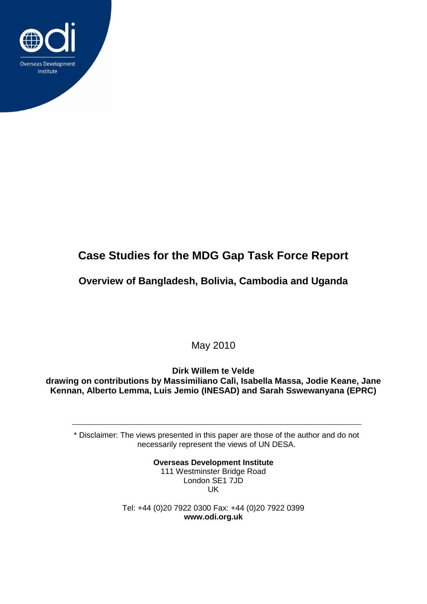

# **Case Studies for the MDG Gap Task Force Report**

**Overview of Bangladesh, Bolivia, Cambodia and Uganda**

May 2010

**Dirk Willem te Velde drawing on contributions by Massimiliano Calì, Isabella Massa, Jodie Keane, Jane Kennan, Alberto Lemma, Luis Jemio (INESAD) and Sarah Sswewanyana (EPRC)**

\* Disclaimer: The views presented in this paper are those of the author and do not necessarily represent the views of UN DESA.

> **Overseas Development Institute** 111 Westminster Bridge Road London SE1 7JD UK

Tel: +44 (0)20 7922 0300 Fax: +44 (0)20 7922 0399 **www.odi.org.uk**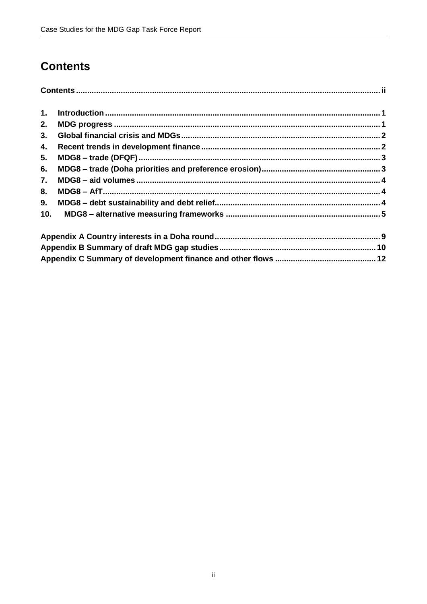# <span id="page-1-0"></span>**Contents**

| 1.  |  |  |  |  |  |  |
|-----|--|--|--|--|--|--|
| 2.  |  |  |  |  |  |  |
| 3.  |  |  |  |  |  |  |
| 4.  |  |  |  |  |  |  |
| 5.  |  |  |  |  |  |  |
| 6.  |  |  |  |  |  |  |
| 7.  |  |  |  |  |  |  |
| 8.  |  |  |  |  |  |  |
| 9.  |  |  |  |  |  |  |
| 10. |  |  |  |  |  |  |
|     |  |  |  |  |  |  |
|     |  |  |  |  |  |  |
|     |  |  |  |  |  |  |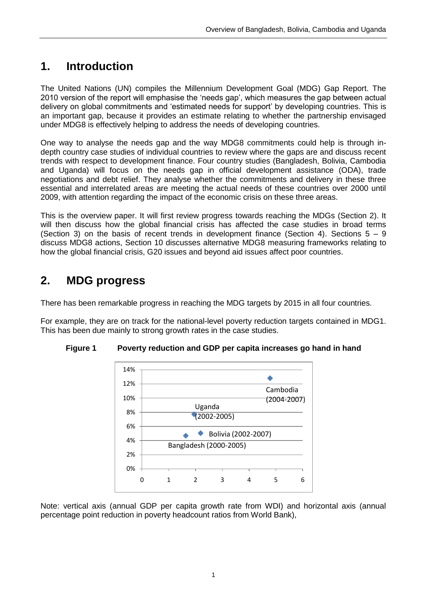### <span id="page-2-0"></span>**1. Introduction**

The United Nations (UN) compiles the Millennium Development Goal (MDG) Gap Report. The 2010 version of the report will emphasise the 'needs gap', which measures the gap between actual delivery on global commitments and 'estimated needs for support' by developing countries. This is an important gap, because it provides an estimate relating to whether the partnership envisaged under MDG8 is effectively helping to address the needs of developing countries.

One way to analyse the needs gap and the way MDG8 commitments could help is through indepth country case studies of individual countries to review where the gaps are and discuss recent trends with respect to development finance. Four country studies (Bangladesh, Bolivia, Cambodia and Uganda) will focus on the needs gap in official development assistance (ODA), trade negotiations and debt relief. They analyse whether the commitments and delivery in these three essential and interrelated areas are meeting the actual needs of these countries over 2000 until 2009, with attention regarding the impact of the economic crisis on these three areas.

This is the overview paper. It will first review progress towards reaching the MDGs (Section 2). It will then discuss how the global financial crisis has affected the case studies in broad terms (Section 3) on the basis of recent trends in development finance (Section 4). Sections  $5 - 9$ discuss MDG8 actions, Section 10 discusses alternative MDG8 measuring frameworks relating to how the global financial crisis, G20 issues and beyond aid issues affect poor countries.

# <span id="page-2-1"></span>**2. MDG progress**

There has been remarkable progress in reaching the MDG targets by 2015 in all four countries.

For example, they are on track for the national-level poverty reduction targets contained in MDG1. This has been due mainly to strong growth rates in the case studies.



**Figure 1 Poverty reduction and GDP per capita increases go hand in hand**

Note: vertical axis (annual GDP per capita growth rate from WDI) and horizontal axis (annual percentage point reduction in poverty headcount ratios from World Bank),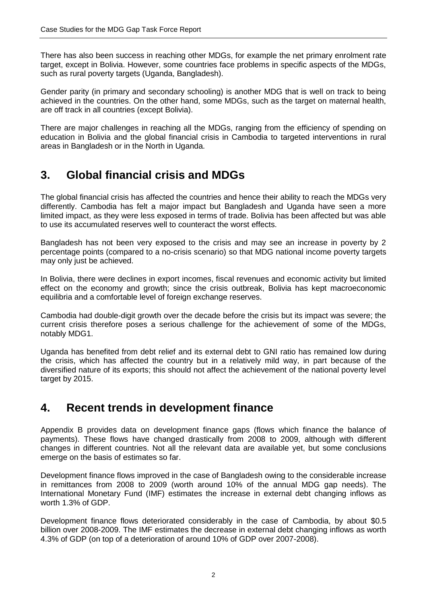There has also been success in reaching other MDGs, for example the net primary enrolment rate target, except in Bolivia. However, some countries face problems in specific aspects of the MDGs, such as rural poverty targets (Uganda, Bangladesh).

Gender parity (in primary and secondary schooling) is another MDG that is well on track to being achieved in the countries. On the other hand, some MDGs, such as the target on maternal health, are off track in all countries (except Bolivia).

There are major challenges in reaching all the MDGs, ranging from the efficiency of spending on education in Bolivia and the global financial crisis in Cambodia to targeted interventions in rural areas in Bangladesh or in the North in Uganda.

### <span id="page-3-0"></span>**3. Global financial crisis and MDGs**

The global financial crisis has affected the countries and hence their ability to reach the MDGs very differently. Cambodia has felt a major impact but Bangladesh and Uganda have seen a more limited impact, as they were less exposed in terms of trade. Bolivia has been affected but was able to use its accumulated reserves well to counteract the worst effects.

Bangladesh has not been very exposed to the crisis and may see an increase in poverty by 2 percentage points (compared to a no-crisis scenario) so that MDG national income poverty targets may only just be achieved.

In Bolivia, there were declines in export incomes, fiscal revenues and economic activity but limited effect on the economy and growth; since the crisis outbreak, Bolivia has kept macroeconomic equilibria and a comfortable level of foreign exchange reserves.

Cambodia had double-digit growth over the decade before the crisis but its impact was severe; the current crisis therefore poses a serious challenge for the achievement of some of the MDGs, notably MDG1.

Uganda has benefited from debt relief and its external debt to GNI ratio has remained low during the crisis, which has affected the country but in a relatively mild way, in part because of the diversified nature of its exports; this should not affect the achievement of the national poverty level target by 2015.

### <span id="page-3-1"></span>**4. Recent trends in development finance**

Appendix B provides data on development finance gaps (flows which finance the balance of payments). These flows have changed drastically from 2008 to 2009, although with different changes in different countries. Not all the relevant data are available yet, but some conclusions emerge on the basis of estimates so far.

Development finance flows improved in the case of Bangladesh owing to the considerable increase in remittances from 2008 to 2009 (worth around 10% of the annual MDG gap needs). The International Monetary Fund (IMF) estimates the increase in external debt changing inflows as worth 1.3% of GDP.

Development finance flows deteriorated considerably in the case of Cambodia, by about \$0.5 billion over 2008-2009. The IMF estimates the decrease in external debt changing inflows as worth 4.3% of GDP (on top of a deterioration of around 10% of GDP over 2007-2008).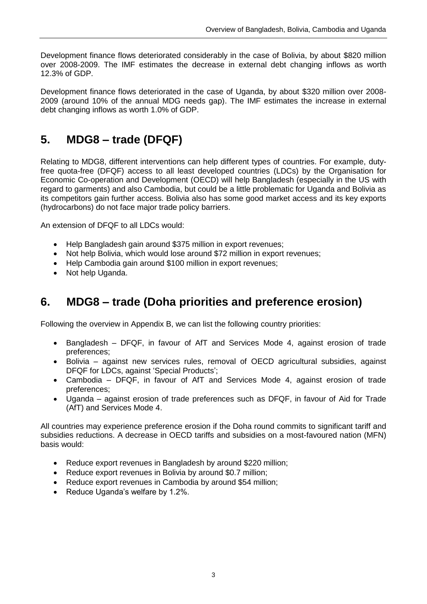Development finance flows deteriorated considerably in the case of Bolivia, by about \$820 million over 2008-2009. The IMF estimates the decrease in external debt changing inflows as worth 12.3% of GDP.

Development finance flows deteriorated in the case of Uganda, by about \$320 million over 2008- 2009 (around 10% of the annual MDG needs gap). The IMF estimates the increase in external debt changing inflows as worth 1.0% of GDP.

### <span id="page-4-0"></span>**5. MDG8 – trade (DFQF)**

Relating to MDG8, different interventions can help different types of countries. For example, dutyfree quota-free (DFQF) access to all least developed countries (LDCs) by the Organisation for Economic Co-operation and Development (OECD) will help Bangladesh (especially in the US with regard to garments) and also Cambodia, but could be a little problematic for Uganda and Bolivia as its competitors gain further access. Bolivia also has some good market access and its key exports (hydrocarbons) do not face major trade policy barriers.

An extension of DFQF to all LDCs would:

- Help Bangladesh gain around \$375 million in export revenues;
- Not help Bolivia, which would lose around \$72 million in export revenues;
- Help Cambodia gain around \$100 million in export revenues:
- Not help Uganda.

### <span id="page-4-1"></span>**6. MDG8 – trade (Doha priorities and preference erosion)**

Following the overview in Appendix B, we can list the following country priorities:

- Bangladesh DFQF, in favour of AfT and Services Mode 4, against erosion of trade preferences;
- Bolivia against new services rules, removal of OECD agricultural subsidies, against DFQF for LDCs, against 'Special Products';
- Cambodia DFQF, in favour of AfT and Services Mode 4, against erosion of trade preferences;
- Uganda against erosion of trade preferences such as DFQF, in favour of Aid for Trade (AfT) and Services Mode 4.

All countries may experience preference erosion if the Doha round commits to significant tariff and subsidies reductions. A decrease in OECD tariffs and subsidies on a most-favoured nation (MFN) basis would:

- Reduce export revenues in Bangladesh by around \$220 million;
- Reduce export revenues in Bolivia by around \$0.7 million;
- Reduce export revenues in Cambodia by around \$54 million;
- Reduce Uganda's welfare by 1.2%.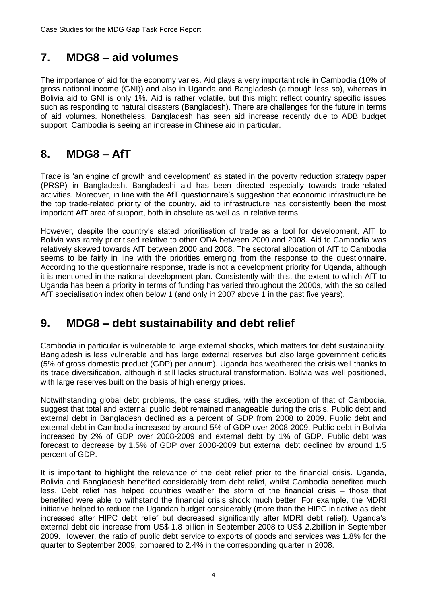### <span id="page-5-0"></span>**7. MDG8 – aid volumes**

The importance of aid for the economy varies. Aid plays a very important role in Cambodia (10% of gross national income (GNI)) and also in Uganda and Bangladesh (although less so), whereas in Bolivia aid to GNI is only 1%. Aid is rather volatile, but this might reflect country specific issues such as responding to natural disasters (Bangladesh). There are challenges for the future in terms of aid volumes. Nonetheless, Bangladesh has seen aid increase recently due to ADB budget support, Cambodia is seeing an increase in Chinese aid in particular.

### <span id="page-5-1"></span>**8. MDG8 – AfT**

Trade is 'an engine of growth and development' as stated in the poverty reduction strategy paper (PRSP) in Bangladesh. Bangladeshi aid has been directed especially towards trade-related activities. Moreover, in line with the AfT questionnaire's suggestion that economic infrastructure be the top trade-related priority of the country, aid to infrastructure has consistently been the most important AfT area of support, both in absolute as well as in relative terms.

However, despite the country's stated prioritisation of trade as a tool for development, AfT to Bolivia was rarely prioritised relative to other ODA between 2000 and 2008. Aid to Cambodia was relatively skewed towards AfT between 2000 and 2008. The sectoral allocation of AfT to Cambodia seems to be fairly in line with the priorities emerging from the response to the questionnaire. According to the questionnaire response, trade is not a development priority for Uganda, although it is mentioned in the national development plan. Consistently with this, the extent to which AfT to Uganda has been a priority in terms of funding has varied throughout the 2000s, with the so called AfT specialisation index often below 1 (and only in 2007 above 1 in the past five years).

### <span id="page-5-2"></span>**9. MDG8 – debt sustainability and debt relief**

Cambodia in particular is vulnerable to large external shocks, which matters for debt sustainability. Bangladesh is less vulnerable and has large external reserves but also large government deficits (5% of gross domestic product (GDP) per annum). Uganda has weathered the crisis well thanks to its trade diversification, although it still lacks structural transformation. Bolivia was well positioned, with large reserves built on the basis of high energy prices.

Notwithstanding global debt problems, the case studies, with the exception of that of Cambodia, suggest that total and external public debt remained manageable during the crisis. Public debt and external debt in Bangladesh declined as a percent of GDP from 2008 to 2009. Public debt and external debt in Cambodia increased by around 5% of GDP over 2008-2009. Public debt in Bolivia increased by 2% of GDP over 2008-2009 and external debt by 1% of GDP. Public debt was forecast to decrease by 1.5% of GDP over 2008-2009 but external debt declined by around 1.5 percent of GDP.

It is important to highlight the relevance of the debt relief prior to the financial crisis. Uganda, Bolivia and Bangladesh benefited considerably from debt relief, whilst Cambodia benefited much less. Debt relief has helped countries weather the storm of the financial crisis – those that benefited were able to withstand the financial crisis shock much better. For example, the MDRI initiative helped to reduce the Ugandan budget considerably (more than the HIPC initiative as debt increased after HIPC debt relief but decreased significantly after MDRI debt relief). Uganda's external debt did increase from US\$ 1.8 billion in September 2008 to US\$ 2.2billion in September 2009. However, the ratio of public debt service to exports of goods and services was 1.8% for the quarter to September 2009, compared to 2.4% in the corresponding quarter in 2008.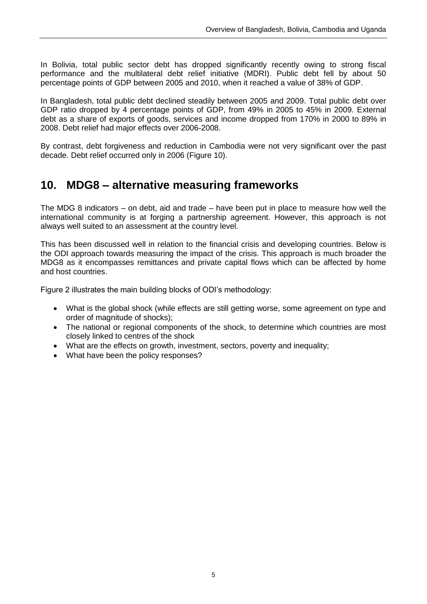In Bolivia, total public sector debt has dropped significantly recently owing to strong fiscal performance and the multilateral debt relief initiative (MDRI). Public debt fell by about 50 percentage points of GDP between 2005 and 2010, when it reached a value of 38% of GDP.

In Bangladesh, total public debt declined steadily between 2005 and 2009. Total public debt over GDP ratio dropped by 4 percentage points of GDP, from 49% in 2005 to 45% in 2009. External debt as a share of exports of goods, services and income dropped from 170% in 2000 to 89% in 2008. Debt relief had major effects over 2006-2008.

By contrast, debt forgiveness and reduction in Cambodia were not very significant over the past decade. Debt relief occurred only in 2006 (Figure 10).

### <span id="page-6-0"></span>**10. MDG8 – alternative measuring frameworks**

The MDG 8 indicators – on debt, aid and trade – have been put in place to measure how well the international community is at forging a partnership agreement. However, this approach is not always well suited to an assessment at the country level.

This has been discussed well in relation to the financial crisis and developing countries. Below is the ODI approach towards measuring the impact of the crisis. This approach is much broader the MDG8 as it encompasses remittances and private capital flows which can be affected by home and host countries.

Figure 2 illustrates the main building blocks of ODI's methodology:

- What is the global shock (while effects are still getting worse, some agreement on type and order of magnitude of shocks);
- The national or regional components of the shock, to determine which countries are most closely linked to centres of the shock
- What are the effects on growth, investment, sectors, poverty and inequality;
- What have been the policy responses?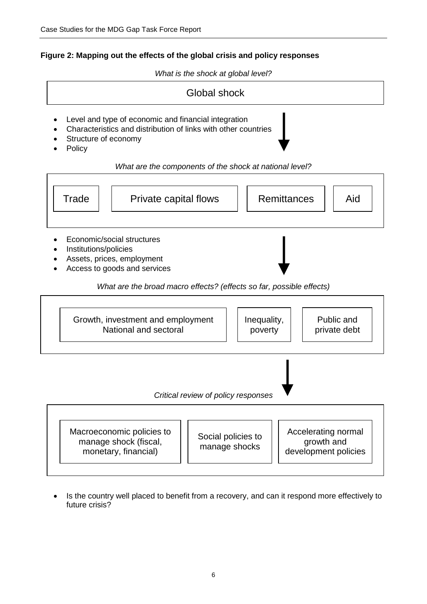#### **Figure 2: Mapping out the effects of the global crisis and policy responses**

*What is the shock at global level?*



- Level and type of economic and financial integration
- Characteristics and distribution of links with other countries
- Structure of economy
- Policy

#### *What are the components of the shock at national level?*



Macroeconomic policies to manage shock (fiscal, monetary, financial) Social policies to manage shocks Accelerating normal growth and development policies

 Is the country well placed to benefit from a recovery, and can it respond more effectively to future crisis?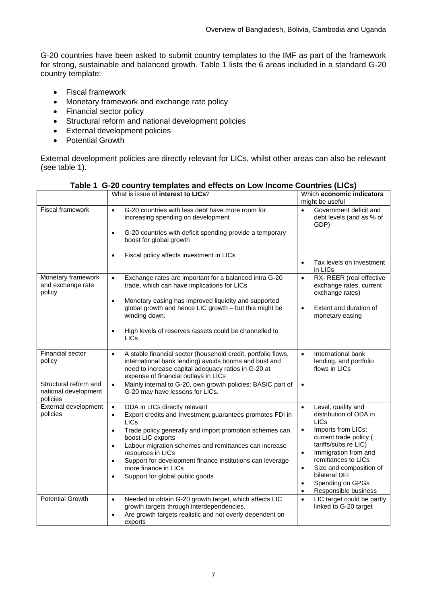G-20 countries have been asked to submit country templates to the IMF as part of the framework for strong, sustainable and balanced growth. Table 1 lists the 6 areas included in a standard G-20 country template:

- Fiscal framework
- Monetary framework and exchange rate policy
- Financial sector policy
- Structural reform and national development policies
- External development policies
- Potential Growth

External development policies are directly relevant for LICs, whilst other areas can also be relevant (see table 1).

|                                                           | What is issue of <b>interest to LICs</b> ?                                                                                                                                                                                                                                                                                                                                                                                                                                   | Which economic indicators<br>might be useful                                                                                                                                                                                                                                                                                                             |
|-----------------------------------------------------------|------------------------------------------------------------------------------------------------------------------------------------------------------------------------------------------------------------------------------------------------------------------------------------------------------------------------------------------------------------------------------------------------------------------------------------------------------------------------------|----------------------------------------------------------------------------------------------------------------------------------------------------------------------------------------------------------------------------------------------------------------------------------------------------------------------------------------------------------|
| Fiscal framework                                          | G-20 countries with less debt have more room for<br>$\bullet$<br>increasing spending on development                                                                                                                                                                                                                                                                                                                                                                          | Government deficit and<br>$\bullet$<br>debt levels (and as % of<br>GDP)                                                                                                                                                                                                                                                                                  |
|                                                           | G-20 countries with deficit spending provide a temporary<br>$\bullet$<br>boost for global growth                                                                                                                                                                                                                                                                                                                                                                             |                                                                                                                                                                                                                                                                                                                                                          |
|                                                           | Fiscal policy affects investment in LICs<br>$\bullet$                                                                                                                                                                                                                                                                                                                                                                                                                        | Tax levels on investment<br>$\bullet$<br>in LICs                                                                                                                                                                                                                                                                                                         |
| Monetary framework<br>and exchange rate<br>policy         | Exchange rates are important for a balanced intra G-20<br>$\bullet$<br>trade, which can have implications for LICs                                                                                                                                                                                                                                                                                                                                                           | RX-REER (real effective<br>$\bullet$<br>exchange rates, current<br>exchange rates)                                                                                                                                                                                                                                                                       |
|                                                           | Monetary easing has improved liquidity and supported<br>$\bullet$<br>global growth and hence LIC growth - but this might be<br>winding down.                                                                                                                                                                                                                                                                                                                                 | Extent and duration of<br>$\bullet$<br>monetary easing                                                                                                                                                                                                                                                                                                   |
|                                                           | High levels of reserves /assets could be channelled to<br>$\bullet$<br><b>LICs</b>                                                                                                                                                                                                                                                                                                                                                                                           |                                                                                                                                                                                                                                                                                                                                                          |
| Financial sector<br>policy                                | A stable financial sector (household credit, portfolio flows,<br>$\bullet$<br>international bank lending) avoids booms and bust and<br>need to increase capital adequacy ratios in G-20 at<br>expense of financial outlays in LICs                                                                                                                                                                                                                                           | International bank<br>$\bullet$<br>lending, and portfolio<br>flows in LICs                                                                                                                                                                                                                                                                               |
| Structural reform and<br>national development<br>policies | Mainly internal to G-20, own growth policies; BASIC part of<br>$\bullet$<br>G-20 may have lessons for LICs.                                                                                                                                                                                                                                                                                                                                                                  | $\bullet$                                                                                                                                                                                                                                                                                                                                                |
| External development<br>policies                          | ODA in LICs directly relevant<br>$\bullet$<br>Export credits and Investment guarantees promotes FDI in<br>$\bullet$<br><b>LICs</b><br>Trade policy generally and import promotion schemes can<br>$\bullet$<br>boost LIC exports<br>Labour migration schemes and remittances can increase<br>$\bullet$<br>resources in LICs<br>Support for development finance institutions can leverage<br>$\bullet$<br>more finance in LICs<br>Support for global public goods<br>$\bullet$ | $\bullet$<br>Level, quality and<br>distribution of ODA in<br><b>LICs</b><br>Imports from LICs;<br>$\bullet$<br>current trade policy (<br>tariffs/subs re LIC)<br>Immigration from and<br>$\bullet$<br>remittances to LICs<br>Size and composition of<br>$\bullet$<br>bilateral DFI<br>Spending on GPGs<br>$\bullet$<br>Responsible business<br>$\bullet$ |
| <b>Potential Growth</b>                                   | Needed to obtain G-20 growth target, which affects LIC<br>$\bullet$<br>growth targets through interdependencies.<br>Are growth targets realistic and not overly dependent on<br>$\bullet$<br>exports                                                                                                                                                                                                                                                                         | LIC target could be partly<br>$\bullet$<br>linked to G-20 target                                                                                                                                                                                                                                                                                         |

**Table 1 G-20 country templates and effects on Low Income Countries (LICs)**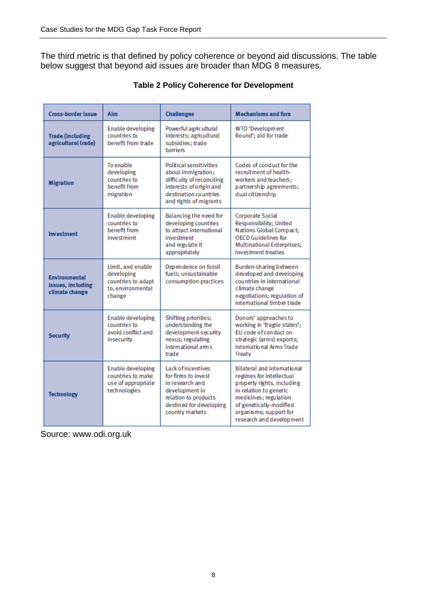The third metric is that defined by policy coherence or beyond aid discussions. The table below suggest that beyond aid issues are broader than MDG 8 measures.

| <b>Cross-border issue</b>                                   | Aim                                                                                  | <b>Challenges</b>                                                                                                                                               | <b>Mechanisms and fora</b>                                                                                                                                                                                                       |
|-------------------------------------------------------------|--------------------------------------------------------------------------------------|-----------------------------------------------------------------------------------------------------------------------------------------------------------------|----------------------------------------------------------------------------------------------------------------------------------------------------------------------------------------------------------------------------------|
| <b>Trade (including</b><br>agricultural trade)              | <b>Enable developing</b><br>countries to<br>benefit from trade                       | Powerful agricultural<br>interests; agricultural<br>subsidies: trade<br>barriers                                                                                | WTO 'Development<br>Round'; aid for trade                                                                                                                                                                                        |
| <b>Migration</b>                                            | To enable<br>developing<br>countries to<br>benefit from<br>migration                 | <b>Political sensitivities</b><br>about immigration;<br>difficulty of reconciling<br>interests of origin and<br>destination countries<br>and rights of migrants | Codes of conduct for the<br>recruitment of health-<br>workers and teachers:<br>partnership agreements;<br>dual citizenship                                                                                                       |
| Investment                                                  | <b>Enable developing</b><br>countries to<br>benefit from<br>investment               | Balancing the need for<br>developing countries<br>to attract international<br>investment<br>and regulate it<br>appropriately                                    | <b>Corporate Social</b><br>Responsibility: United<br>Nations Global Compact;<br><b>OECD Guidelines for</b><br><b>Multinational Enterprises:</b><br><b>Investment treaties</b>                                                    |
| <b>Environmental</b><br>issues, including<br>climate change | Limit, and enable<br>developing<br>countries to adapt<br>to, environmental<br>change | Dependence on fossil<br>fuels: unsustainable<br>consumption practices                                                                                           | Burden-sharing between<br>developed and developing<br>countries in international<br>climate change<br>negotiations; regulation of<br>international timber trade                                                                  |
| <b>Security</b>                                             | <b>Enable developing</b><br>countries to<br>avoid conflict and<br>insecurity         | <b>Shifting priorities;</b><br>understanding the<br>development-security<br>nexus; regulating<br>intemational ams<br>trade                                      | Donors' approaches to<br>working in 'fragile states';<br>EU code of conduct on<br>strategic (arms) exports;<br>International Arms Trade<br><b>Treaty</b>                                                                         |
| <b>Technology</b>                                           | <b>Enable developing</b><br>countries to make<br>use of appropriate<br>technologies  | <b>Lack of incentives</b><br>for firms to invest<br>in research and<br>development in<br>relation to products<br>destined for developing<br>country markets     | <b>Bilateral and international</b><br>regimes for intellectual<br>property rights, including<br>in relation to generic<br>medicines; regulation<br>of genetically-modified<br>organisms; support for<br>research and development |

### **Table 2 Policy Coherence for Development**

Source: www.odi.org.uk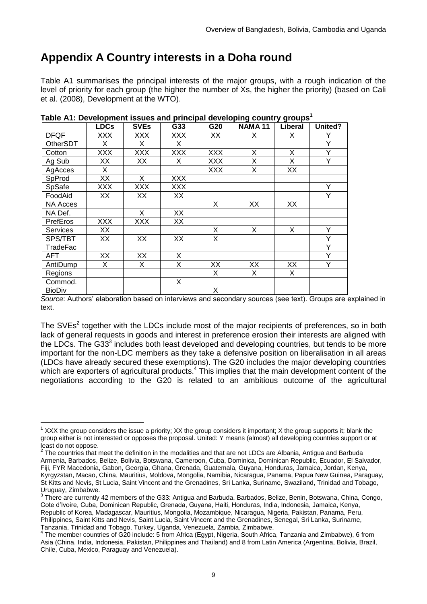### <span id="page-10-0"></span>**Appendix A Country interests in a Doha round**

Table A1 summarises the principal interests of the major groups, with a rough indication of the level of priority for each group (the higher the number of Xs, the higher the priority) (based on Cali et al. (2008), Development at the WTO).

|                 | <b>LDCs</b> | <b>SVEs</b> | G33        | G20        | <b>NAMA 11</b> | Liberal | United? |
|-----------------|-------------|-------------|------------|------------|----------------|---------|---------|
| <b>DFQF</b>     | XXX         | <b>XXX</b>  | XXX        | XX         | X              | X       | Υ       |
| OtherSDT        | X           | X           | X          |            |                |         | Υ       |
| Cotton          | XXX         | <b>XXX</b>  | XXX        | <b>XXX</b> | X              | X       | Υ       |
| Ag Sub          | XX          | XX          | X          | <b>XXX</b> | Χ              | X       | Y       |
| AgAcces         | X.          |             |            | <b>XXX</b> | X              | XX      |         |
| SpProd          | XX          | X           | XXX        |            |                |         |         |
| SpSafe          | XXX         | XXX         | <b>XXX</b> |            |                |         | Υ       |
| FoodAid         | XX          | XX          | XX         |            |                |         | Y       |
| <b>NA Acces</b> |             |             |            | X          | XX             | XX      |         |
| NA Def.         |             | X           | XX         |            |                |         |         |
| PrefEros        | XXX         | XXX         | XX         |            |                |         |         |
| <b>Services</b> | XX          |             |            | X          | X              | X       | Υ       |
| SPS/TBT         | XX          | XX          | XX         | X          |                |         | Υ       |
| TradeFac        |             |             |            |            |                |         | Υ       |
| AFT             | XX          | XX          | X          |            |                |         | Ÿ       |
| AntiDump        | X.          | X           | X          | XX         | XX             | XX      | Υ       |
| Regions         |             |             |            | X          | X              | X       |         |
| Commod.         |             |             | X          |            |                |         |         |
| <b>BioDiv</b>   |             |             |            | X          |                |         |         |

| Table A1: Development issues and principal developing country groups <sup>1</sup> |  |  |
|-----------------------------------------------------------------------------------|--|--|
|                                                                                   |  |  |

*Source*: Authors' elaboration based on interviews and secondary sources (see text). Groups are explained in text.

The SVEs<sup>2</sup> together with the LDCs include most of the major recipients of preferences, so in both lack of general requests in goods and interest in preference erosion their interests are aligned with the LDCs. The G33 $3$  includes both least developed and developing countries, but tends to be more important for the non-LDC members as they take a defensive position on liberalisation in all areas (LDCs have already secured these exemptions). The G20 includes the major developing countries which are exporters of agricultural products.<sup>4</sup> This implies that the main development content of the negotiations according to the G20 is related to an ambitious outcome of the agricultural

1

 $1$  XXX the group considers the issue a priority; XX the group considers it important; X the group supports it; blank the group either is not interested or opposes the proposal. United: Y means (almost) all developing countries support or at least do not oppose.

<sup>2</sup> The countries that meet the definition in the modalities and that are not LDCs are Albania, Antigua and Barbuda Armenia, Barbados, Belize, Bolivia, Botswana, Cameroon, Cuba, Dominica, Dominican Republic, Ecuador, El Salvador, Fiji, FYR Macedonia, Gabon, Georgia, Ghana, Grenada, Guatemala, Guyana, Honduras, Jamaica, Jordan, Kenya, Kyrgyzstan, Macao, China, Mauritius, Moldova, Mongolia, Namibia, Nicaragua, Panama, Papua New Guinea, Paraguay, St Kitts and Nevis, St Lucia, Saint Vincent and the Grenadines, Sri Lanka, Suriname, Swaziland, Trinidad and Tobago,

Uruguay, Zimbabwe.<br><sup>3</sup> There are currently 42 members of the G33: Antigua and Barbuda, Barbados, Belize, Benin, Botswana, China, Congo, Cote d'Ivoire, Cuba, Dominican Republic, Grenada, Guyana, Haiti, Honduras, India, Indonesia, Jamaica, Kenya, Republic of Korea, Madagascar, Mauritius, Mongolia, Mozambique, Nicaragua, Nigeria, Pakistan, Panama, Peru, Philippines, Saint Kitts and Nevis, Saint Lucia, Saint Vincent and the Grenadines, Senegal, Sri Lanka, Suriname, Tanzania, Trinidad and Tobago, Turkey, Uganda, Venezuela, Zambia, Zimbabwe.<br><sup>4</sup> The member countries of G20 include: 5 from Africa (Egypt, Nigeria, South Africa, Tanzania and Zimbabwe), 6 from

Asia (China, India, Indonesia, Pakistan, Philippines and Thailand) and 8 from Latin America (Argentina, Bolivia, Brazil, Chile, Cuba, Mexico, Paraguay and Venezuela).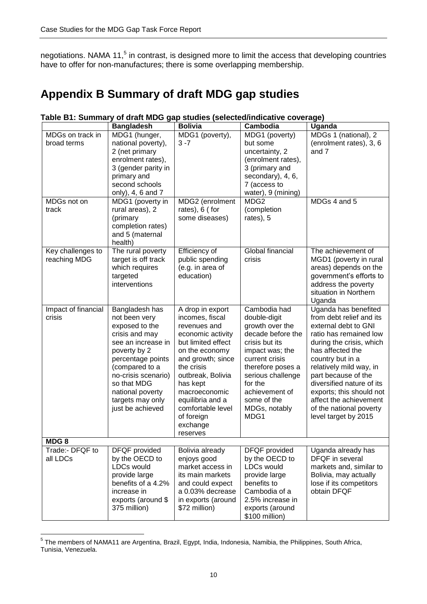negotiations. NAMA 11,<sup>5</sup> in contrast, is designed more to limit the access that developing countries have to offer for non-manufactures; there is some overlapping membership.

### <span id="page-11-0"></span>**Appendix B Summary of draft MDG gap studies**

|                                                         | <b>Bangladesh</b>                                                                                                                                                                                                                                  | <b>Bolivia</b>                                                                                                                                                                                                                                                                       | Cambodia                                                                                                                                                                                                                                   | <b>Uganda</b>                                                                                                                                                                                                                                                                                                                                                  |
|---------------------------------------------------------|----------------------------------------------------------------------------------------------------------------------------------------------------------------------------------------------------------------------------------------------------|--------------------------------------------------------------------------------------------------------------------------------------------------------------------------------------------------------------------------------------------------------------------------------------|--------------------------------------------------------------------------------------------------------------------------------------------------------------------------------------------------------------------------------------------|----------------------------------------------------------------------------------------------------------------------------------------------------------------------------------------------------------------------------------------------------------------------------------------------------------------------------------------------------------------|
| MDGs on track in<br>broad terms<br>MDGs not on<br>track | MDG1 (hunger,<br>national poverty),<br>2 (net primary<br>enrolment rates),<br>3 (gender parity in<br>primary and<br>second schools<br>only), 4, 6 and 7<br>MDG1 (poverty in<br>rural areas), 2<br>(primary                                         | MDG1 (poverty),<br>$3 - 7$<br>MDG2 (enrolment<br>rates), 6 (for<br>some diseases)                                                                                                                                                                                                    | MDG1 (poverty)<br>but some<br>uncertainty, 2<br>(enrolment rates),<br>3 (primary and<br>secondary), 4, 6,<br>7 (access to<br>water), 9 (mining)<br>MDG <sub>2</sub><br>(completion<br>rates), 5                                            | MDGs 1 (national), 2<br>(enrolment rates), 3, 6<br>and 7<br>MDGs 4 and 5                                                                                                                                                                                                                                                                                       |
| Key challenges to                                       | completion rates)<br>and 5 (maternal<br>health)<br>The rural poverty                                                                                                                                                                               | Efficiency of                                                                                                                                                                                                                                                                        | Global financial<br>crisis                                                                                                                                                                                                                 | The achievement of                                                                                                                                                                                                                                                                                                                                             |
| reaching MDG                                            | target is off track<br>which requires<br>targeted<br>interventions                                                                                                                                                                                 | public spending<br>(e.g. in area of<br>education)                                                                                                                                                                                                                                    |                                                                                                                                                                                                                                            | MGD1 (poverty in rural<br>areas) depends on the<br>government's efforts to<br>address the poverty<br>situation in Northern<br>Uganda                                                                                                                                                                                                                           |
| Impact of financial<br>crisis                           | Bangladesh has<br>not been very<br>exposed to the<br>crisis and may<br>see an increase in<br>poverty by 2<br>percentage points<br>(compared to a<br>no-crisis scenario)<br>so that MDG<br>national poverty<br>targets may only<br>just be achieved | A drop in export<br>incomes, fiscal<br>revenues and<br>economic activity<br>but limited effect<br>on the economy<br>and growth; since<br>the crisis<br>outbreak, Bolivia<br>has kept<br>macroeconomic<br>equilibria and a<br>comfortable level<br>of foreign<br>exchange<br>reserves | Cambodia had<br>double-digit<br>growth over the<br>decade before the<br>crisis but its<br>impact was; the<br>current crisis<br>therefore poses a<br>serious challenge<br>for the<br>achievement of<br>some of the<br>MDGs, notably<br>MDG1 | Uganda has benefited<br>from debt relief and its<br>external debt to GNI<br>ratio has remained low<br>during the crisis, which<br>has affected the<br>country but in a<br>relatively mild way, in<br>part because of the<br>diversified nature of its<br>exports; this should not<br>affect the achievement<br>of the national poverty<br>level target by 2015 |
| MDG8<br>Trade:- DFQF to<br>all LDCs                     | DFQF provided<br>by the OECD to<br>LDCs would<br>provide large<br>benefits of a 4.2%<br>increase in<br>exports (around \$<br>375 million)                                                                                                          | Bolivia already<br>enjoys good<br>market access in<br>its main markets<br>and could expect<br>a 0.03% decrease<br>in exports (around<br>\$72 million)                                                                                                                                | DFQF provided<br>by the OECD to<br>LDCs would<br>provide large<br>benefits to<br>Cambodia of a<br>2.5% increase in<br>exports (around<br>\$100 million)                                                                                    | Uganda already has<br>DFQF in several<br>markets and, similar to<br>Bolivia, may actually<br>lose if its competitors<br>obtain DFQF                                                                                                                                                                                                                            |

#### **Table B1: Summary of draft MDG gap studies (selected/indicative coverage)**

 5 The members of NAMA11 are Argentina, Brazil, Egypt, India, Indonesia, Namibia, the Philippines, South Africa, Tunisia, Venezuela.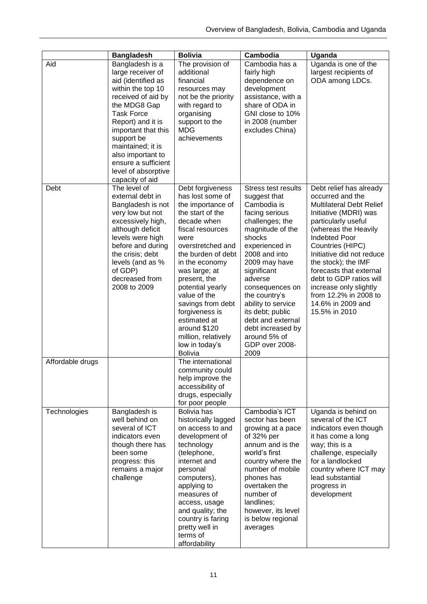|                  | <b>Bangladesh</b>                                                                                                                                                                                                                                                                                               | <b>Bolivia</b>                                                                                                                                                                                                                                                                                                                                                                               | Cambodia                                                                                                                                                                                                                                                                                                                                                              | <b>Uganda</b>                                                                                                                                                                                                                                                                                                                                                                                         |
|------------------|-----------------------------------------------------------------------------------------------------------------------------------------------------------------------------------------------------------------------------------------------------------------------------------------------------------------|----------------------------------------------------------------------------------------------------------------------------------------------------------------------------------------------------------------------------------------------------------------------------------------------------------------------------------------------------------------------------------------------|-----------------------------------------------------------------------------------------------------------------------------------------------------------------------------------------------------------------------------------------------------------------------------------------------------------------------------------------------------------------------|-------------------------------------------------------------------------------------------------------------------------------------------------------------------------------------------------------------------------------------------------------------------------------------------------------------------------------------------------------------------------------------------------------|
| Aid              | Bangladesh is a<br>large receiver of<br>aid (identified as<br>within the top 10<br>received of aid by<br>the MDG8 Gap<br><b>Task Force</b><br>Report) and it is<br>important that this<br>support be<br>maintained; it is<br>also important to<br>ensure a sufficient<br>level of absorptive<br>capacity of aid | The provision of<br>additional<br>financial<br>resources may<br>not be the priority<br>with regard to<br>organising<br>support to the<br><b>MDG</b><br>achievements                                                                                                                                                                                                                          | Cambodia has a<br>fairly high<br>dependence on<br>development<br>assistance, with a<br>share of ODA in<br>GNI close to 10%<br>in 2008 (number<br>excludes China)                                                                                                                                                                                                      | Uganda is one of the<br>largest recipients of<br>ODA among LDCs.                                                                                                                                                                                                                                                                                                                                      |
| Debt             | The level of<br>external debt in<br>Bangladesh is not<br>very low but not<br>excessively high,<br>although deficit<br>levels were high<br>before and during<br>the crisis; debt<br>levels (and as %<br>of GDP)<br>decreased from<br>2008 to 2009                                                                | Debt forgiveness<br>has lost some of<br>the importance of<br>the start of the<br>decade when<br>fiscal resources<br>were<br>overstretched and<br>the burden of debt<br>in the economy<br>was large; at<br>present, the<br>potential yearly<br>value of the<br>savings from debt<br>forgiveness is<br>estimated at<br>around \$120<br>million, relatively<br>low in today's<br><b>Bolivia</b> | Stress test results<br>suggest that<br>Cambodia is<br>facing serious<br>challenges; the<br>magnitude of the<br>shocks<br>experienced in<br>2008 and into<br>2009 may have<br>significant<br>adverse<br>consequences on<br>the country's<br>ability to service<br>its debt; public<br>debt and external<br>debt increased by<br>around 5% of<br>GDP over 2008-<br>2009 | Debt relief has already<br>occurred and the<br><b>Multilateral Debt Relief</b><br>Initiative (MDRI) was<br>particularly useful<br>(whereas the Heavily<br><b>Indebted Poor</b><br>Countries (HIPC)<br>Initiative did not reduce<br>the stock); the IMF<br>forecasts that external<br>debt to GDP ratios will<br>increase only slightly<br>from 12.2% in 2008 to<br>14.6% in 2009 and<br>15.5% in 2010 |
| Affordable drugs |                                                                                                                                                                                                                                                                                                                 | The international<br>community could<br>help improve the<br>accessibility of<br>drugs, especially<br>for poor people                                                                                                                                                                                                                                                                         |                                                                                                                                                                                                                                                                                                                                                                       |                                                                                                                                                                                                                                                                                                                                                                                                       |
| Technologies     | Bangladesh is<br>well behind on<br>several of ICT<br>indicators even<br>though there has<br>been some<br>progress: this<br>remains a major<br>challenge                                                                                                                                                         | Bolivia has<br>historically lagged<br>on access to and<br>development of<br>technology<br>(telephone,<br>internet and<br>personal<br>computers),<br>applying to<br>measures of<br>access, usage<br>and quality; the<br>country is faring<br>pretty well in<br>terms of<br>affordability                                                                                                      | Cambodia's ICT<br>sector has been<br>growing at a pace<br>of 32% per<br>annum and is the<br>world's first<br>country where the<br>number of mobile<br>phones has<br>overtaken the<br>number of<br>landlines;<br>however, its level<br>is below regional<br>averages                                                                                                   | Uganda is behind on<br>several of the ICT<br>indicators even though<br>it has come a long<br>way; this is a<br>challenge, especially<br>for a landlocked<br>country where ICT may<br>lead substantial<br>progress in<br>development                                                                                                                                                                   |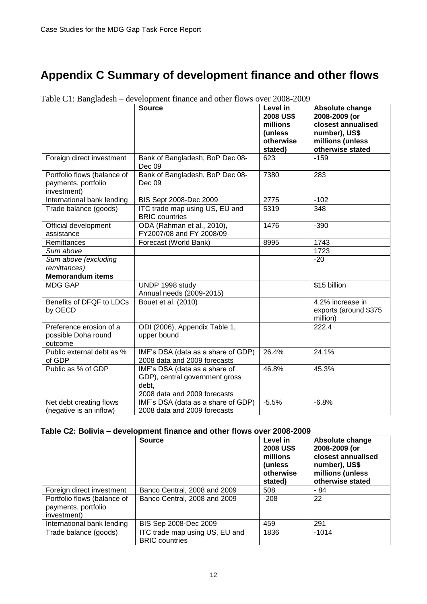# <span id="page-13-0"></span>**Appendix C Summary of development finance and other flows**

|                                                                   | Source                                                                                                   | Level in<br><b>2008 US\$</b><br>millions<br>(unless<br>otherwise<br>stated) | Absolute change<br>2008-2009 (or<br>closest annualised<br>number), US\$<br>millions (unless<br>otherwise stated |
|-------------------------------------------------------------------|----------------------------------------------------------------------------------------------------------|-----------------------------------------------------------------------------|-----------------------------------------------------------------------------------------------------------------|
| Foreign direct investment                                         | Bank of Bangladesh, BoP Dec 08-<br>Dec 09                                                                | 623                                                                         | $-159$                                                                                                          |
| Portfolio flows (balance of<br>payments, portfolio<br>investment) | Bank of Bangladesh, BoP Dec 08-<br>Dec 09                                                                | 7380                                                                        | 283                                                                                                             |
| International bank lending                                        | BIS Sept 2008-Dec 2009                                                                                   | 2775                                                                        | $-102$                                                                                                          |
| Trade balance (goods)                                             | ITC trade map using US, EU and<br><b>BRIC</b> countries                                                  | 5319                                                                        | 348                                                                                                             |
| Official development<br>assistance                                | ODA (Rahman et al., 2010),<br>FY2007/08 and FY 2008/09                                                   | 1476                                                                        | $-390$                                                                                                          |
| Remittances                                                       | Forecast (World Bank)                                                                                    | 8995                                                                        | 1743                                                                                                            |
| Sum above                                                         |                                                                                                          |                                                                             | 1723                                                                                                            |
| Sum above (excluding<br>remittances)                              |                                                                                                          |                                                                             | $-20$                                                                                                           |
| <b>Memorandum items</b>                                           |                                                                                                          |                                                                             |                                                                                                                 |
| <b>MDG GAP</b>                                                    | UNDP 1998 study<br>Annual needs (2009-2015)                                                              |                                                                             | \$15 billion                                                                                                    |
| Benefits of DFQF to LDCs<br>by OECD                               | Bouet et al. (2010)                                                                                      |                                                                             | 4.2% increase in<br>exports (around \$375<br>million)                                                           |
| Preference erosion of a<br>possible Doha round<br>outcome         | ODI (2006), Appendix Table 1,<br>upper bound                                                             |                                                                             | 222.4                                                                                                           |
| Public external debt as %<br>of GDP                               | IMF's DSA (data as a share of GDP)<br>2008 data and 2009 forecasts                                       | 26.4%                                                                       | 24.1%                                                                                                           |
| Public as % of GDP                                                | IMF's DSA (data as a share of<br>GDP), central government gross<br>debt,<br>2008 data and 2009 forecasts | 46.8%                                                                       | 45.3%                                                                                                           |
| Net debt creating flows<br>(negative is an inflow)                | IMF's DSA (data as a share of GDP)<br>2008 data and 2009 forecasts                                       | $-5.5%$                                                                     | $-6.8%$                                                                                                         |

Table C1: Bangladesh – development finance and other flows over 2008-2009

#### **Table C2: Bolivia – development finance and other flows over 2008-2009**

|                                                                   | <b>Source</b>                                           | Level in<br><b>2008 US\$</b><br>millions<br>(unless)<br>otherwise<br>stated) | Absolute change<br>2008-2009 (or<br>closest annualised<br>number), US\$<br>millions (unless<br>otherwise stated |
|-------------------------------------------------------------------|---------------------------------------------------------|------------------------------------------------------------------------------|-----------------------------------------------------------------------------------------------------------------|
| Foreign direct investment                                         | Banco Central, 2008 and 2009                            | 508                                                                          | - 84                                                                                                            |
| Portfolio flows (balance of<br>payments, portfolio<br>investment) | Banco Central, 2008 and 2009                            | $-208$                                                                       | 22                                                                                                              |
| International bank lending                                        | BIS Sep 2008-Dec 2009                                   | 459                                                                          | 291                                                                                                             |
| Trade balance (goods)                                             | ITC trade map using US, EU and<br><b>BRIC</b> countries | 1836                                                                         | $-1014$                                                                                                         |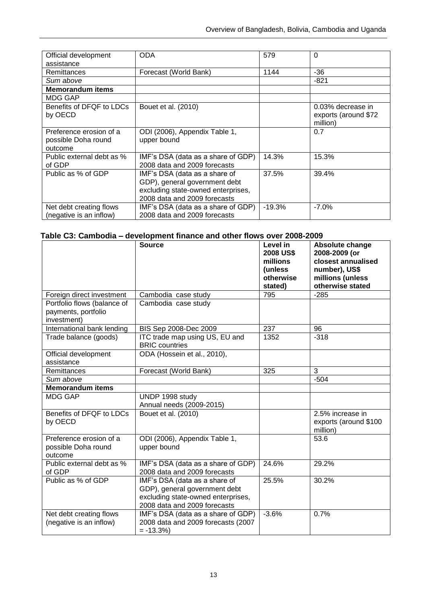| Official development      | <b>ODA</b>                         | 579      | $\Omega$             |
|---------------------------|------------------------------------|----------|----------------------|
| assistance                |                                    |          |                      |
| Remittances               | Forecast (World Bank)              | 1144     | -36                  |
| Sum above                 |                                    |          | $-821$               |
| <b>Memorandum items</b>   |                                    |          |                      |
| <b>MDG GAP</b>            |                                    |          |                      |
| Benefits of DFQF to LDCs  | Bouet et al. (2010)                |          | 0.03% decrease in    |
| by OECD                   |                                    |          | exports (around \$72 |
|                           |                                    |          | million)             |
| Preference erosion of a   | ODI (2006), Appendix Table 1,      |          | 0.7                  |
| possible Doha round       | upper bound                        |          |                      |
| outcome                   |                                    |          |                      |
| Public external debt as % | IMF's DSA (data as a share of GDP) | 14.3%    | 15.3%                |
| of GDP                    | 2008 data and 2009 forecasts       |          |                      |
| Public as % of GDP        | IMF's DSA (data as a share of      | 37.5%    | 39.4%                |
|                           | GDP), general government debt      |          |                      |
|                           | excluding state-owned enterprises, |          |                      |
|                           | 2008 data and 2009 forecasts       |          |                      |
| Net debt creating flows   | IMF's DSA (data as a share of GDP) | $-19.3%$ | $-7.0\%$             |
| (negative is an inflow)   | 2008 data and 2009 forecasts       |          |                      |

### **Table C3: Cambodia – development finance and other flows over 2008-2009**

|                                                                   | <b>Source</b>                                                                                                                        | Level in<br><b>2008 US\$</b><br>millions<br>(unless<br>otherwise<br>stated) | Absolute change<br>2008-2009 (or<br>closest annualised<br>number), US\$<br>millions (unless<br>otherwise stated |
|-------------------------------------------------------------------|--------------------------------------------------------------------------------------------------------------------------------------|-----------------------------------------------------------------------------|-----------------------------------------------------------------------------------------------------------------|
| Foreign direct investment                                         | Cambodia case study                                                                                                                  | 795                                                                         | $-285$                                                                                                          |
| Portfolio flows (balance of<br>payments, portfolio<br>investment) | Cambodia case study                                                                                                                  |                                                                             |                                                                                                                 |
| International bank lending                                        | BIS Sep 2008-Dec 2009                                                                                                                | 237                                                                         | 96                                                                                                              |
| Trade balance (goods)                                             | ITC trade map using US, EU and<br><b>BRIC</b> countries                                                                              | 1352                                                                        | $-318$                                                                                                          |
| Official development<br>assistance                                | ODA (Hossein et al., 2010),                                                                                                          |                                                                             |                                                                                                                 |
| Remittances                                                       | Forecast (World Bank)                                                                                                                | 325                                                                         | $\overline{3}$                                                                                                  |
| Sum above                                                         |                                                                                                                                      |                                                                             | $-504$                                                                                                          |
| <b>Memorandum items</b>                                           |                                                                                                                                      |                                                                             |                                                                                                                 |
| <b>MDG GAP</b>                                                    | UNDP 1998 study<br>Annual needs (2009-2015)                                                                                          |                                                                             |                                                                                                                 |
| Benefits of DFQF to LDCs<br>by OECD                               | Bouet et al. (2010)                                                                                                                  |                                                                             | 2.5% increase in<br>exports (around \$100<br>million)                                                           |
| Preference erosion of a<br>possible Doha round<br>outcome         | ODI (2006), Appendix Table 1,<br>upper bound                                                                                         |                                                                             | 53.6                                                                                                            |
| Public external debt as %<br>of GDP                               | IMF's DSA (data as a share of GDP)<br>2008 data and 2009 forecasts                                                                   | 24.6%                                                                       | 29.2%                                                                                                           |
| Public as % of GDP                                                | IMF's DSA (data as a share of<br>GDP), general government debt<br>excluding state-owned enterprises,<br>2008 data and 2009 forecasts | 25.5%                                                                       | 30.2%                                                                                                           |
| Net debt creating flows<br>(negative is an inflow)                | IMF's DSA (data as a share of GDP)<br>2008 data and 2009 forecasts (2007<br>$= -13.3%$                                               | $-3.6%$                                                                     | 0.7%                                                                                                            |